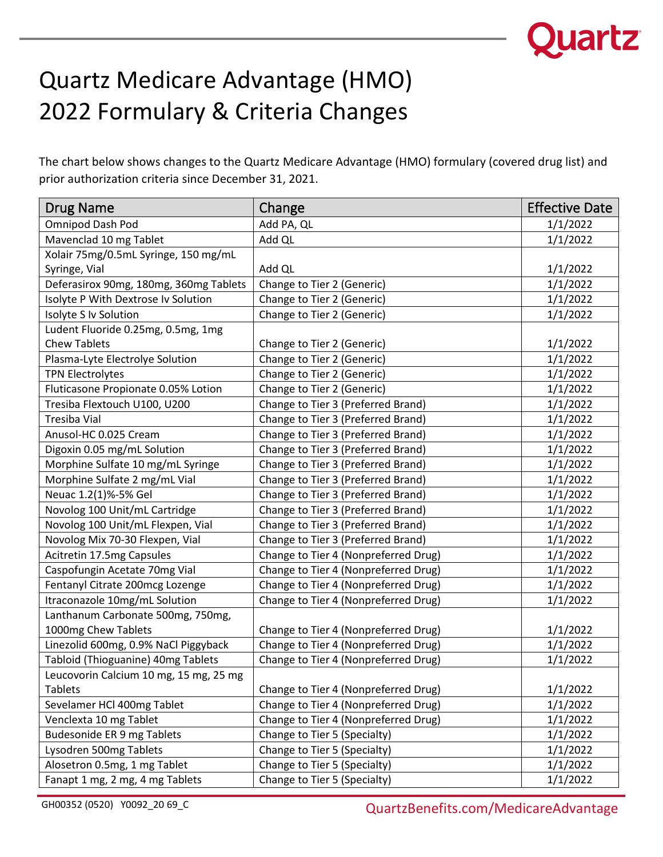

## Quartz Medicare Advantage (HMO) 2022 Formulary & Criteria Changes

The chart below shows changes to the Quartz Medicare Advantage (HMO) formulary (covered drug list) and prior authorization criteria since December 31, 2021.

| <b>Drug Name</b>                       | Change                               | <b>Effective Date</b> |
|----------------------------------------|--------------------------------------|-----------------------|
| Omnipod Dash Pod                       | Add PA, QL                           | 1/1/2022              |
| Mavenclad 10 mg Tablet                 | Add QL                               | 1/1/2022              |
| Xolair 75mg/0.5mL Syringe, 150 mg/mL   |                                      |                       |
| Syringe, Vial                          | Add QL                               | 1/1/2022              |
| Deferasirox 90mg, 180mg, 360mg Tablets | Change to Tier 2 (Generic)           | 1/1/2022              |
| Isolyte P With Dextrose Iv Solution    | Change to Tier 2 (Generic)           | 1/1/2022              |
| Isolyte S Iv Solution                  | Change to Tier 2 (Generic)           | 1/1/2022              |
| Ludent Fluoride 0.25mg, 0.5mg, 1mg     |                                      |                       |
| <b>Chew Tablets</b>                    | Change to Tier 2 (Generic)           | 1/1/2022              |
| Plasma-Lyte Electrolye Solution        | Change to Tier 2 (Generic)           | 1/1/2022              |
| <b>TPN Electrolytes</b>                | Change to Tier 2 (Generic)           | 1/1/2022              |
| Fluticasone Propionate 0.05% Lotion    | Change to Tier 2 (Generic)           | 1/1/2022              |
| Tresiba Flextouch U100, U200           | Change to Tier 3 (Preferred Brand)   | 1/1/2022              |
| <b>Tresiba Vial</b>                    | Change to Tier 3 (Preferred Brand)   | 1/1/2022              |
| Anusol-HC 0.025 Cream                  | Change to Tier 3 (Preferred Brand)   | 1/1/2022              |
| Digoxin 0.05 mg/mL Solution            | Change to Tier 3 (Preferred Brand)   | 1/1/2022              |
| Morphine Sulfate 10 mg/mL Syringe      | Change to Tier 3 (Preferred Brand)   | 1/1/2022              |
| Morphine Sulfate 2 mg/mL Vial          | Change to Tier 3 (Preferred Brand)   | 1/1/2022              |
| Neuac 1.2(1)%-5% Gel                   | Change to Tier 3 (Preferred Brand)   | 1/1/2022              |
| Novolog 100 Unit/mL Cartridge          | Change to Tier 3 (Preferred Brand)   | 1/1/2022              |
| Novolog 100 Unit/mL Flexpen, Vial      | Change to Tier 3 (Preferred Brand)   | 1/1/2022              |
| Novolog Mix 70-30 Flexpen, Vial        | Change to Tier 3 (Preferred Brand)   | 1/1/2022              |
| Acitretin 17.5mg Capsules              | Change to Tier 4 (Nonpreferred Drug) | 1/1/2022              |
| Caspofungin Acetate 70mg Vial          | Change to Tier 4 (Nonpreferred Drug) | 1/1/2022              |
| Fentanyl Citrate 200mcg Lozenge        | Change to Tier 4 (Nonpreferred Drug) | 1/1/2022              |
| Itraconazole 10mg/mL Solution          | Change to Tier 4 (Nonpreferred Drug) | 1/1/2022              |
| Lanthanum Carbonate 500mg, 750mg,      |                                      |                       |
| 1000mg Chew Tablets                    | Change to Tier 4 (Nonpreferred Drug) | 1/1/2022              |
| Linezolid 600mg, 0.9% NaCl Piggyback   | Change to Tier 4 (Nonpreferred Drug) | 1/1/2022              |
| Tabloid (Thioguanine) 40mg Tablets     | Change to Tier 4 (Nonpreferred Drug) | 1/1/2022              |
| Leucovorin Calcium 10 mg, 15 mg, 25 mg |                                      |                       |
| <b>Tablets</b>                         | Change to Tier 4 (Nonpreferred Drug) | 1/1/2022              |
| Sevelamer HCl 400mg Tablet             | Change to Tier 4 (Nonpreferred Drug) | 1/1/2022              |
| Venclexta 10 mg Tablet                 | Change to Tier 4 (Nonpreferred Drug) | 1/1/2022              |
| <b>Budesonide ER 9 mg Tablets</b>      | Change to Tier 5 (Specialty)         | 1/1/2022              |
| Lysodren 500mg Tablets                 | Change to Tier 5 (Specialty)         | 1/1/2022              |
| Alosetron 0.5mg, 1 mg Tablet           | Change to Tier 5 (Specialty)         | 1/1/2022              |
| Fanapt 1 mg, 2 mg, 4 mg Tablets        | Change to Tier 5 (Specialty)         | 1/1/2022              |

GH00352 (0520) Y0092\_20 69\_C<br>
QuartzBenefits.com/MedicareAdvantage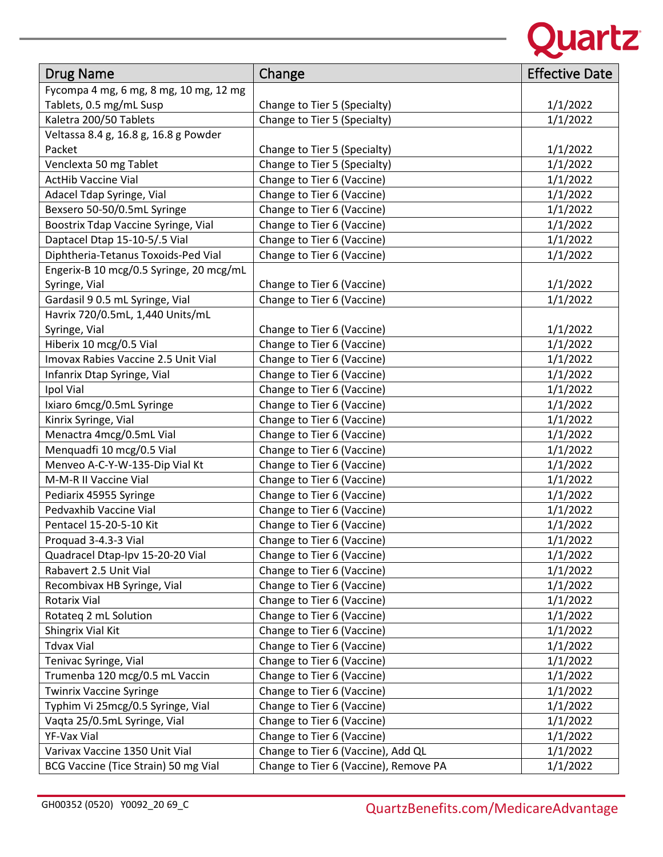

| <b>Drug Name</b>                        | Change                                | <b>Effective Date</b> |
|-----------------------------------------|---------------------------------------|-----------------------|
| Fycompa 4 mg, 6 mg, 8 mg, 10 mg, 12 mg  |                                       |                       |
| Tablets, 0.5 mg/mL Susp                 | Change to Tier 5 (Specialty)          | 1/1/2022              |
| Kaletra 200/50 Tablets                  | Change to Tier 5 (Specialty)          | 1/1/2022              |
| Veltassa 8.4 g, 16.8 g, 16.8 g Powder   |                                       |                       |
| Packet                                  | Change to Tier 5 (Specialty)          | 1/1/2022              |
| Venclexta 50 mg Tablet                  | Change to Tier 5 (Specialty)          | 1/1/2022              |
| <b>ActHib Vaccine Vial</b>              | Change to Tier 6 (Vaccine)            | 1/1/2022              |
| Adacel Tdap Syringe, Vial               | Change to Tier 6 (Vaccine)            | 1/1/2022              |
| Bexsero 50-50/0.5mL Syringe             | Change to Tier 6 (Vaccine)            | 1/1/2022              |
| Boostrix Tdap Vaccine Syringe, Vial     | Change to Tier 6 (Vaccine)            | 1/1/2022              |
| Daptacel Dtap 15-10-5/.5 Vial           | Change to Tier 6 (Vaccine)            | 1/1/2022              |
| Diphtheria-Tetanus Toxoids-Ped Vial     | Change to Tier 6 (Vaccine)            | 1/1/2022              |
| Engerix-B 10 mcg/0.5 Syringe, 20 mcg/mL |                                       |                       |
| Syringe, Vial                           | Change to Tier 6 (Vaccine)            | 1/1/2022              |
| Gardasil 9 0.5 mL Syringe, Vial         | Change to Tier 6 (Vaccine)            | 1/1/2022              |
| Havrix 720/0.5mL, 1,440 Units/mL        |                                       |                       |
| Syringe, Vial                           | Change to Tier 6 (Vaccine)            | 1/1/2022              |
| Hiberix 10 mcg/0.5 Vial                 | Change to Tier 6 (Vaccine)            | 1/1/2022              |
| Imovax Rabies Vaccine 2.5 Unit Vial     | Change to Tier 6 (Vaccine)            | 1/1/2022              |
| Infanrix Dtap Syringe, Vial             | Change to Tier 6 (Vaccine)            | 1/1/2022              |
| Ipol Vial                               | Change to Tier 6 (Vaccine)            | 1/1/2022              |
| Ixiaro 6mcg/0.5mL Syringe               | Change to Tier 6 (Vaccine)            | 1/1/2022              |
| Kinrix Syringe, Vial                    | Change to Tier 6 (Vaccine)            | 1/1/2022              |
| Menactra 4mcg/0.5mL Vial                | Change to Tier 6 (Vaccine)            | 1/1/2022              |
| Menquadfi 10 mcg/0.5 Vial               | Change to Tier 6 (Vaccine)            | 1/1/2022              |
| Menveo A-C-Y-W-135-Dip Vial Kt          | Change to Tier 6 (Vaccine)            | 1/1/2022              |
| M-M-R II Vaccine Vial                   | Change to Tier 6 (Vaccine)            | 1/1/2022              |
| Pediarix 45955 Syringe                  | Change to Tier 6 (Vaccine)            | 1/1/2022              |
| Pedvaxhib Vaccine Vial                  | Change to Tier 6 (Vaccine)            | 1/1/2022              |
| Pentacel 15-20-5-10 Kit                 | Change to Tier 6 (Vaccine)            | 1/1/2022              |
| Proquad 3-4.3-3 Vial                    | Change to Tier 6 (Vaccine)            | 1/1/2022              |
| Quadracel Dtap-Ipv 15-20-20 Vial        | Change to Tier 6 (Vaccine)            | 1/1/2022              |
| Rabavert 2.5 Unit Vial                  | Change to Tier 6 (Vaccine)            | 1/1/2022              |
| Recombivax HB Syringe, Vial             | Change to Tier 6 (Vaccine)            | 1/1/2022              |
| Rotarix Vial                            | Change to Tier 6 (Vaccine)            | 1/1/2022              |
| Rotateq 2 mL Solution                   | Change to Tier 6 (Vaccine)            | 1/1/2022              |
| Shingrix Vial Kit                       | Change to Tier 6 (Vaccine)            | 1/1/2022              |
| <b>Tdvax Vial</b>                       | Change to Tier 6 (Vaccine)            | 1/1/2022              |
| Tenivac Syringe, Vial                   | Change to Tier 6 (Vaccine)            | 1/1/2022              |
| Trumenba 120 mcg/0.5 mL Vaccin          | Change to Tier 6 (Vaccine)            | 1/1/2022              |
| <b>Twinrix Vaccine Syringe</b>          | Change to Tier 6 (Vaccine)            | 1/1/2022              |
| Typhim Vi 25mcg/0.5 Syringe, Vial       | Change to Tier 6 (Vaccine)            | 1/1/2022              |
| Vaqta 25/0.5mL Syringe, Vial            | Change to Tier 6 (Vaccine)            | 1/1/2022              |
| YF-Vax Vial                             | Change to Tier 6 (Vaccine)            | 1/1/2022              |
| Varivax Vaccine 1350 Unit Vial          | Change to Tier 6 (Vaccine), Add QL    | 1/1/2022              |
| BCG Vaccine (Tice Strain) 50 mg Vial    | Change to Tier 6 (Vaccine), Remove PA | 1/1/2022              |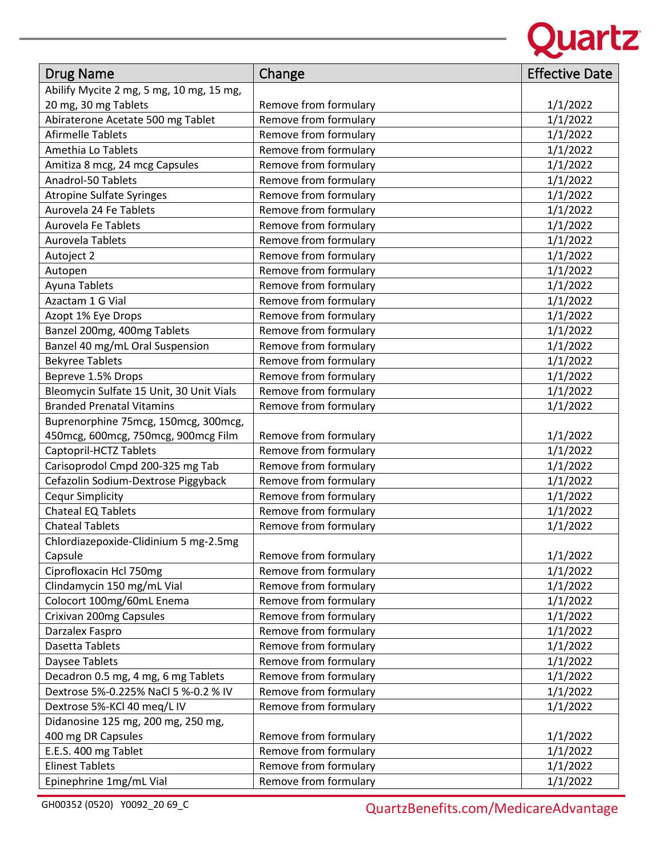

| <b>Drug Name</b>                         | Change                | <b>Effective Date</b> |
|------------------------------------------|-----------------------|-----------------------|
| Abilify Mycite 2 mg, 5 mg, 10 mg, 15 mg, |                       |                       |
| 20 mg, 30 mg Tablets                     | Remove from formulary | 1/1/2022              |
| Abiraterone Acetate 500 mg Tablet        | Remove from formulary | 1/1/2022              |
| <b>Afirmelle Tablets</b>                 | Remove from formulary | 1/1/2022              |
| Amethia Lo Tablets                       | Remove from formulary | 1/1/2022              |
| Amitiza 8 mcg, 24 mcg Capsules           | Remove from formulary | 1/1/2022              |
| Anadrol-50 Tablets                       | Remove from formulary | 1/1/2022              |
| <b>Atropine Sulfate Syringes</b>         | Remove from formulary | 1/1/2022              |
| Aurovela 24 Fe Tablets                   | Remove from formulary | 1/1/2022              |
| <b>Aurovela Fe Tablets</b>               | Remove from formulary | 1/1/2022              |
| Aurovela Tablets                         | Remove from formulary | 1/1/2022              |
| Autoject 2                               | Remove from formulary | 1/1/2022              |
| Autopen                                  | Remove from formulary | 1/1/2022              |
| Ayuna Tablets                            | Remove from formulary | 1/1/2022              |
| Azactam 1 G Vial                         | Remove from formulary | 1/1/2022              |
| Azopt 1% Eye Drops                       | Remove from formulary | 1/1/2022              |
| Banzel 200mg, 400mg Tablets              | Remove from formulary | 1/1/2022              |
| Banzel 40 mg/mL Oral Suspension          | Remove from formulary | 1/1/2022              |
| <b>Bekyree Tablets</b>                   | Remove from formulary | 1/1/2022              |
| Bepreve 1.5% Drops                       | Remove from formulary | 1/1/2022              |
| Bleomycin Sulfate 15 Unit, 30 Unit Vials | Remove from formulary | 1/1/2022              |
| <b>Branded Prenatal Vitamins</b>         | Remove from formulary | 1/1/2022              |
| Buprenorphine 75mcg, 150mcg, 300mcg,     |                       |                       |
| 450mcg, 600mcg, 750mcg, 900mcg Film      | Remove from formulary | 1/1/2022              |
| Captopril-HCTZ Tablets                   | Remove from formulary | 1/1/2022              |
| Carisoprodol Cmpd 200-325 mg Tab         | Remove from formulary | 1/1/2022              |
| Cefazolin Sodium-Dextrose Piggyback      | Remove from formulary | 1/1/2022              |
| <b>Cequr Simplicity</b>                  | Remove from formulary | 1/1/2022              |
| Chateal EQ Tablets                       | Remove from formulary | 1/1/2022              |
| <b>Chateal Tablets</b>                   | Remove from formulary | 1/1/2022              |
| Chlordiazepoxide-Clidinium 5 mg-2.5mg    |                       |                       |
| Capsule                                  | Remove from formulary | 1/1/2022              |
| Ciprofloxacin Hcl 750mg                  | Remove from formulary | 1/1/2022              |
| Clindamycin 150 mg/mL Vial               | Remove from formulary | 1/1/2022              |
| Colocort 100mg/60mL Enema                | Remove from formulary | 1/1/2022              |
| Crixivan 200mg Capsules                  | Remove from formulary | 1/1/2022              |
| Darzalex Faspro                          | Remove from formulary | 1/1/2022              |
| Dasetta Tablets                          | Remove from formulary | 1/1/2022              |
| Daysee Tablets                           | Remove from formulary | 1/1/2022              |
| Decadron 0.5 mg, 4 mg, 6 mg Tablets      | Remove from formulary | 1/1/2022              |
| Dextrose 5%-0.225% NaCl 5 %-0.2 % IV     | Remove from formulary | 1/1/2022              |
| Dextrose 5%-KCl 40 meg/L IV              | Remove from formulary | 1/1/2022              |
| Didanosine 125 mg, 200 mg, 250 mg,       |                       |                       |
| 400 mg DR Capsules                       | Remove from formulary | 1/1/2022              |
| E.E.S. 400 mg Tablet                     | Remove from formulary | 1/1/2022              |
| <b>Elinest Tablets</b>                   | Remove from formulary | 1/1/2022              |
| Epinephrine 1mg/mL Vial                  | Remove from formulary | 1/1/2022              |

GH00352 (0520) Y0092\_20 69\_C<br>
QuartzBenefits.com/MedicareAdvantage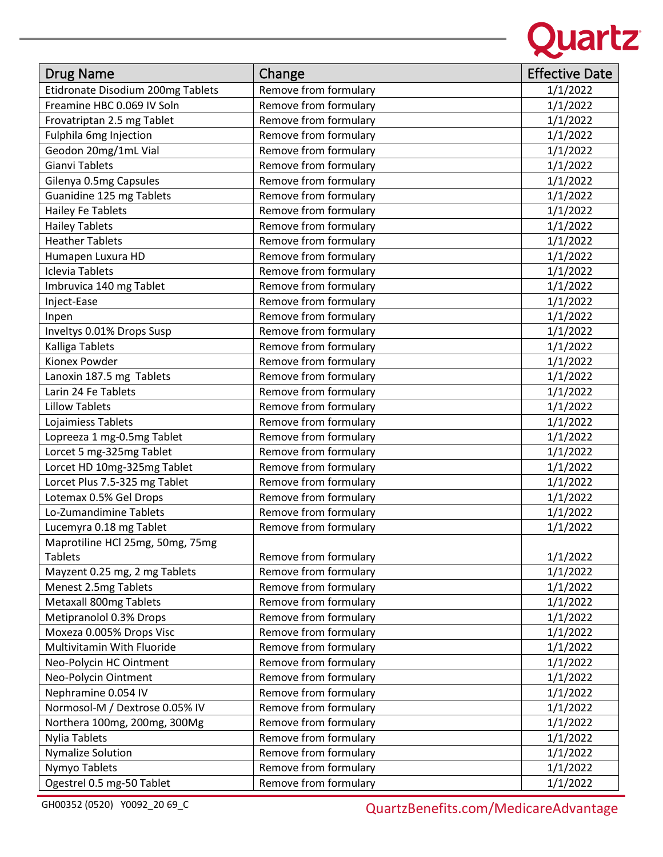

| <b>Drug Name</b>                  | Change                | <b>Effective Date</b> |
|-----------------------------------|-----------------------|-----------------------|
| Etidronate Disodium 200mg Tablets | Remove from formulary | 1/1/2022              |
| Freamine HBC 0.069 IV Soln        | Remove from formulary | 1/1/2022              |
| Frovatriptan 2.5 mg Tablet        | Remove from formulary | 1/1/2022              |
| <b>Fulphila 6mg Injection</b>     | Remove from formulary | 1/1/2022              |
| Geodon 20mg/1mL Vial              | Remove from formulary | 1/1/2022              |
| <b>Gianvi Tablets</b>             | Remove from formulary | 1/1/2022              |
| Gilenya 0.5mg Capsules            | Remove from formulary | 1/1/2022              |
| Guanidine 125 mg Tablets          | Remove from formulary | 1/1/2022              |
| <b>Hailey Fe Tablets</b>          | Remove from formulary | 1/1/2022              |
| <b>Hailey Tablets</b>             | Remove from formulary | 1/1/2022              |
| <b>Heather Tablets</b>            | Remove from formulary | 1/1/2022              |
| Humapen Luxura HD                 | Remove from formulary | 1/1/2022              |
| <b>Iclevia Tablets</b>            | Remove from formulary | 1/1/2022              |
| Imbruvica 140 mg Tablet           | Remove from formulary | 1/1/2022              |
| Inject-Ease                       | Remove from formulary | 1/1/2022              |
| Inpen                             | Remove from formulary | 1/1/2022              |
| Inveltys 0.01% Drops Susp         | Remove from formulary | 1/1/2022              |
| Kalliga Tablets                   | Remove from formulary | 1/1/2022              |
| Kionex Powder                     | Remove from formulary | 1/1/2022              |
| Lanoxin 187.5 mg Tablets          | Remove from formulary | 1/1/2022              |
| Larin 24 Fe Tablets               | Remove from formulary | 1/1/2022              |
| <b>Lillow Tablets</b>             | Remove from formulary | 1/1/2022              |
| Lojaimiess Tablets                | Remove from formulary | 1/1/2022              |
| Lopreeza 1 mg-0.5mg Tablet        | Remove from formulary | 1/1/2022              |
| Lorcet 5 mg-325mg Tablet          | Remove from formulary | 1/1/2022              |
| Lorcet HD 10mg-325mg Tablet       | Remove from formulary | 1/1/2022              |
| Lorcet Plus 7.5-325 mg Tablet     | Remove from formulary | 1/1/2022              |
| Lotemax 0.5% Gel Drops            | Remove from formulary | 1/1/2022              |
| Lo-Zumandimine Tablets            | Remove from formulary | 1/1/2022              |
| Lucemyra 0.18 mg Tablet           | Remove from formulary | 1/1/2022              |
| Maprotiline HCl 25mg, 50mg, 75mg  |                       |                       |
| <b>Tablets</b>                    | Remove from formulary | 1/1/2022              |
| Mayzent 0.25 mg, 2 mg Tablets     | Remove from formulary | 1/1/2022              |
| Menest 2.5mg Tablets              | Remove from formulary | 1/1/2022              |
| Metaxall 800mg Tablets            | Remove from formulary | 1/1/2022              |
| Metipranolol 0.3% Drops           | Remove from formulary | 1/1/2022              |
| Moxeza 0.005% Drops Visc          | Remove from formulary | 1/1/2022              |
| Multivitamin With Fluoride        | Remove from formulary | 1/1/2022              |
| Neo-Polycin HC Ointment           | Remove from formulary | 1/1/2022              |
| Neo-Polycin Ointment              | Remove from formulary | 1/1/2022              |
| Nephramine 0.054 IV               | Remove from formulary | 1/1/2022              |
| Normosol-M / Dextrose 0.05% IV    | Remove from formulary | 1/1/2022              |
| Northera 100mg, 200mg, 300Mg      | Remove from formulary | 1/1/2022              |
| <b>Nylia Tablets</b>              | Remove from formulary | 1/1/2022              |
| <b>Nymalize Solution</b>          | Remove from formulary | 1/1/2022              |
| Nymyo Tablets                     | Remove from formulary | 1/1/2022              |
| Ogestrel 0.5 mg-50 Tablet         | Remove from formulary | 1/1/2022              |

GH00352 (0520) Y0092\_20 69\_C<br>
QuartzBenefits.com/MedicareAdvantage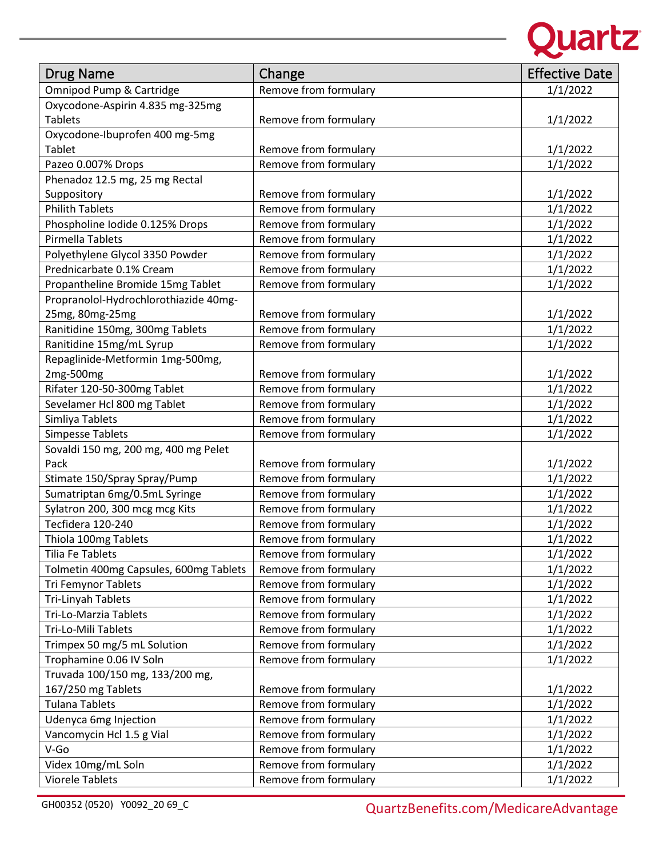

| <b>Drug Name</b>                       | Change                | <b>Effective Date</b> |
|----------------------------------------|-----------------------|-----------------------|
| Omnipod Pump & Cartridge               | Remove from formulary | 1/1/2022              |
| Oxycodone-Aspirin 4.835 mg-325mg       |                       |                       |
| <b>Tablets</b>                         | Remove from formulary | 1/1/2022              |
| Oxycodone-Ibuprofen 400 mg-5mg         |                       |                       |
| Tablet                                 | Remove from formulary | 1/1/2022              |
| Pazeo 0.007% Drops                     | Remove from formulary | 1/1/2022              |
| Phenadoz 12.5 mg, 25 mg Rectal         |                       |                       |
| Suppository                            | Remove from formulary | 1/1/2022              |
| <b>Philith Tablets</b>                 | Remove from formulary | 1/1/2022              |
| Phospholine Iodide 0.125% Drops        | Remove from formulary | 1/1/2022              |
| Pirmella Tablets                       | Remove from formulary | 1/1/2022              |
| Polyethylene Glycol 3350 Powder        | Remove from formulary | 1/1/2022              |
| Prednicarbate 0.1% Cream               | Remove from formulary | 1/1/2022              |
| Propantheline Bromide 15mg Tablet      | Remove from formulary | 1/1/2022              |
| Propranolol-Hydrochlorothiazide 40mg-  |                       |                       |
| 25mg, 80mg-25mg                        | Remove from formulary | 1/1/2022              |
| Ranitidine 150mg, 300mg Tablets        | Remove from formulary | 1/1/2022              |
| Ranitidine 15mg/mL Syrup               | Remove from formulary | 1/1/2022              |
| Repaglinide-Metformin 1mg-500mg,       |                       |                       |
| 2mg-500mg                              | Remove from formulary | 1/1/2022              |
| Rifater 120-50-300mg Tablet            | Remove from formulary | 1/1/2022              |
| Sevelamer Hcl 800 mg Tablet            | Remove from formulary | 1/1/2022              |
| Simliya Tablets                        | Remove from formulary | 1/1/2022              |
| <b>Simpesse Tablets</b>                | Remove from formulary | 1/1/2022              |
| Sovaldi 150 mg, 200 mg, 400 mg Pelet   |                       |                       |
| Pack                                   | Remove from formulary | 1/1/2022              |
| Stimate 150/Spray Spray/Pump           | Remove from formulary | 1/1/2022              |
| Sumatriptan 6mg/0.5mL Syringe          | Remove from formulary | 1/1/2022              |
| Sylatron 200, 300 mcg mcg Kits         | Remove from formulary | 1/1/2022              |
| Tecfidera 120-240                      | Remove from formulary | 1/1/2022              |
| Thiola 100mg Tablets                   | Remove from formulary | 1/1/2022              |
| Tilia Fe Tablets                       | Remove from formulary | 1/1/2022              |
| Tolmetin 400mg Capsules, 600mg Tablets | Remove from formulary | 1/1/2022              |
| <b>Tri Femynor Tablets</b>             | Remove from formulary | 1/1/2022              |
| Tri-Linyah Tablets                     | Remove from formulary | 1/1/2022              |
| Tri-Lo-Marzia Tablets                  | Remove from formulary | 1/1/2022              |
| Tri-Lo-Mili Tablets                    | Remove from formulary | 1/1/2022              |
| Trimpex 50 mg/5 mL Solution            | Remove from formulary | 1/1/2022              |
| Trophamine 0.06 IV Soln                | Remove from formulary | 1/1/2022              |
| Truvada 100/150 mg, 133/200 mg,        |                       |                       |
| 167/250 mg Tablets                     | Remove from formulary | 1/1/2022              |
| <b>Tulana Tablets</b>                  | Remove from formulary | 1/1/2022              |
| Udenyca 6mg Injection                  | Remove from formulary | 1/1/2022              |
| Vancomycin Hcl 1.5 g Vial              | Remove from formulary | 1/1/2022              |
| V-Go                                   | Remove from formulary | 1/1/2022              |
| Videx 10mg/mL Soln                     | Remove from formulary | 1/1/2022              |
| <b>Viorele Tablets</b>                 | Remove from formulary | 1/1/2022              |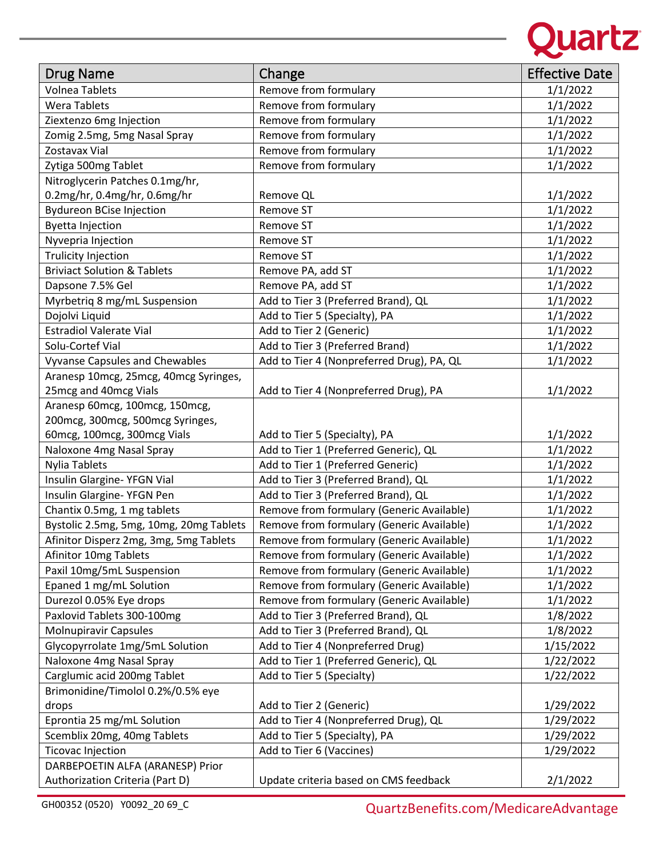

| Drug Name                               | Change                                    | <b>Effective Date</b> |
|-----------------------------------------|-------------------------------------------|-----------------------|
| <b>Volnea Tablets</b>                   | Remove from formulary                     | 1/1/2022              |
| <b>Wera Tablets</b>                     | Remove from formulary                     | 1/1/2022              |
| Ziextenzo 6mg Injection                 | Remove from formulary                     | 1/1/2022              |
| Zomig 2.5mg, 5mg Nasal Spray            | Remove from formulary                     | 1/1/2022              |
| Zostavax Vial                           | Remove from formulary                     | 1/1/2022              |
| Zytiga 500mg Tablet                     | Remove from formulary                     | 1/1/2022              |
| Nitroglycerin Patches 0.1mg/hr,         |                                           |                       |
| 0.2mg/hr, 0.4mg/hr, 0.6mg/hr            | Remove QL                                 | 1/1/2022              |
| <b>Bydureon BCise Injection</b>         | Remove ST                                 | 1/1/2022              |
| <b>Byetta Injection</b>                 | Remove ST                                 | 1/1/2022              |
| Nyvepria Injection                      | Remove ST                                 | 1/1/2022              |
| Trulicity Injection                     | Remove ST                                 | 1/1/2022              |
| <b>Briviact Solution &amp; Tablets</b>  | Remove PA, add ST                         | 1/1/2022              |
| Dapsone 7.5% Gel                        | Remove PA, add ST                         | 1/1/2022              |
| Myrbetriq 8 mg/mL Suspension            | Add to Tier 3 (Preferred Brand), QL       | 1/1/2022              |
| Dojolvi Liquid                          | Add to Tier 5 (Specialty), PA             | 1/1/2022              |
| <b>Estradiol Valerate Vial</b>          | Add to Tier 2 (Generic)                   | 1/1/2022              |
| Solu-Cortef Vial                        | Add to Tier 3 (Preferred Brand)           | 1/1/2022              |
| <b>Vyvanse Capsules and Chewables</b>   | Add to Tier 4 (Nonpreferred Drug), PA, QL | 1/1/2022              |
| Aranesp 10mcg, 25mcg, 40mcg Syringes,   |                                           |                       |
| 25mcg and 40mcg Vials                   | Add to Tier 4 (Nonpreferred Drug), PA     | 1/1/2022              |
| Aranesp 60mcg, 100mcg, 150mcg,          |                                           |                       |
| 200mcg, 300mcg, 500mcg Syringes,        |                                           |                       |
| 60mcg, 100mcg, 300mcg Vials             | Add to Tier 5 (Specialty), PA             | 1/1/2022              |
| Naloxone 4mg Nasal Spray                | Add to Tier 1 (Preferred Generic), QL     | 1/1/2022              |
| <b>Nylia Tablets</b>                    | Add to Tier 1 (Preferred Generic)         | 1/1/2022              |
| Insulin Glargine- YFGN Vial             | Add to Tier 3 (Preferred Brand), QL       | 1/1/2022              |
| Insulin Glargine- YFGN Pen              | Add to Tier 3 (Preferred Brand), QL       | 1/1/2022              |
| Chantix 0.5mg, 1 mg tablets             | Remove from formulary (Generic Available) | 1/1/2022              |
| Bystolic 2.5mg, 5mg, 10mg, 20mg Tablets | Remove from formulary (Generic Available) | 1/1/2022              |
| Afinitor Disperz 2mg, 3mg, 5mg Tablets  | Remove from formulary (Generic Available) | 1/1/2022              |
| Afinitor 10mg Tablets                   | Remove from formulary (Generic Available) | 1/1/2022              |
| Paxil 10mg/5mL Suspension               | Remove from formulary (Generic Available) | 1/1/2022              |
| Epaned 1 mg/mL Solution                 | Remove from formulary (Generic Available) | 1/1/2022              |
| Durezol 0.05% Eye drops                 | Remove from formulary (Generic Available) | 1/1/2022              |
| Paxlovid Tablets 300-100mg              | Add to Tier 3 (Preferred Brand), QL       | 1/8/2022              |
| <b>Molnupiravir Capsules</b>            | Add to Tier 3 (Preferred Brand), QL       | 1/8/2022              |
| Glycopyrrolate 1mg/5mL Solution         | Add to Tier 4 (Nonpreferred Drug)         | 1/15/2022             |
| Naloxone 4mg Nasal Spray                | Add to Tier 1 (Preferred Generic), QL     | 1/22/2022             |
| Carglumic acid 200mg Tablet             | Add to Tier 5 (Specialty)                 | 1/22/2022             |
| Brimonidine/Timolol 0.2%/0.5% eye       |                                           |                       |
| drops                                   | Add to Tier 2 (Generic)                   | 1/29/2022             |
| Eprontia 25 mg/mL Solution              | Add to Tier 4 (Nonpreferred Drug), QL     | 1/29/2022             |
| Scemblix 20mg, 40mg Tablets             | Add to Tier 5 (Specialty), PA             | 1/29/2022             |
| <b>Ticovac Injection</b>                | Add to Tier 6 (Vaccines)                  | 1/29/2022             |
| DARBEPOETIN ALFA (ARANESP) Prior        |                                           |                       |
| Authorization Criteria (Part D)         | Update criteria based on CMS feedback     | 2/1/2022              |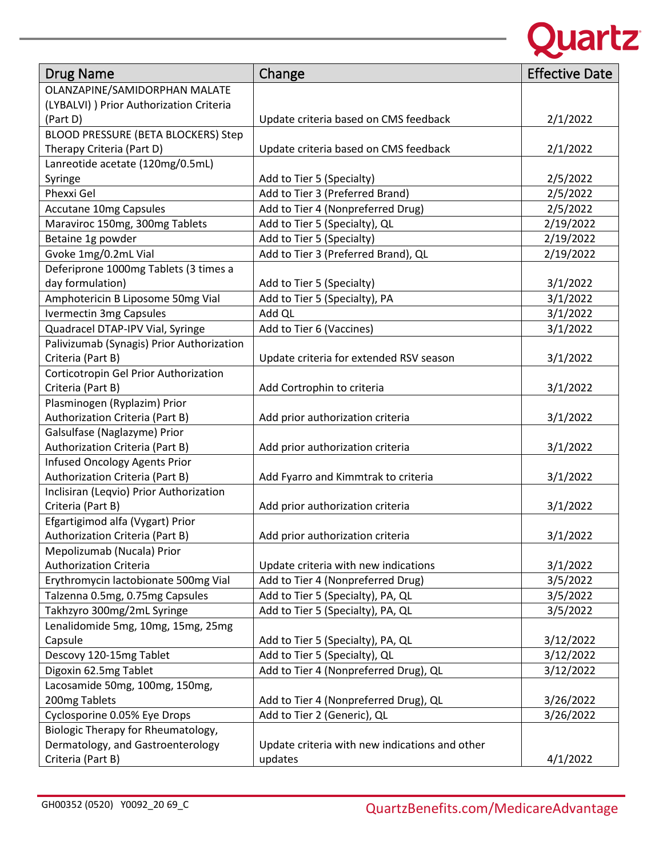

| <b>Drug Name</b>                          | Change                                         | <b>Effective Date</b> |
|-------------------------------------------|------------------------------------------------|-----------------------|
| OLANZAPINE/SAMIDORPHAN MALATE             |                                                |                       |
| (LYBALVI) ) Prior Authorization Criteria  |                                                |                       |
| (Part D)                                  | Update criteria based on CMS feedback          | 2/1/2022              |
| BLOOD PRESSURE (BETA BLOCKERS) Step       |                                                |                       |
| Therapy Criteria (Part D)                 | Update criteria based on CMS feedback          | 2/1/2022              |
| Lanreotide acetate (120mg/0.5mL)          |                                                |                       |
| Syringe                                   | Add to Tier 5 (Specialty)                      | 2/5/2022              |
| Phexxi Gel                                | Add to Tier 3 (Preferred Brand)                | 2/5/2022              |
| <b>Accutane 10mg Capsules</b>             | Add to Tier 4 (Nonpreferred Drug)              | 2/5/2022              |
| Maraviroc 150mg, 300mg Tablets            | Add to Tier 5 (Specialty), QL                  | 2/19/2022             |
| Betaine 1g powder                         | Add to Tier 5 (Specialty)                      | 2/19/2022             |
| Gvoke 1mg/0.2mL Vial                      | Add to Tier 3 (Preferred Brand), QL            | 2/19/2022             |
| Deferiprone 1000mg Tablets (3 times a     |                                                |                       |
| day formulation)                          | Add to Tier 5 (Specialty)                      | 3/1/2022              |
| Amphotericin B Liposome 50mg Vial         | Add to Tier 5 (Specialty), PA                  | 3/1/2022              |
| <b>Ivermectin 3mg Capsules</b>            | Add QL                                         | 3/1/2022              |
| Quadracel DTAP-IPV Vial, Syringe          | Add to Tier 6 (Vaccines)                       | 3/1/2022              |
| Palivizumab (Synagis) Prior Authorization |                                                |                       |
| Criteria (Part B)                         | Update criteria for extended RSV season        | 3/1/2022              |
| Corticotropin Gel Prior Authorization     |                                                |                       |
| Criteria (Part B)                         | Add Cortrophin to criteria                     | 3/1/2022              |
| Plasminogen (Ryplazim) Prior              |                                                |                       |
| Authorization Criteria (Part B)           | Add prior authorization criteria               | 3/1/2022              |
| Galsulfase (Naglazyme) Prior              |                                                |                       |
| Authorization Criteria (Part B)           | Add prior authorization criteria               | 3/1/2022              |
| Infused Oncology Agents Prior             |                                                |                       |
| Authorization Criteria (Part B)           | Add Fyarro and Kimmtrak to criteria            | 3/1/2022              |
| Inclisiran (Leqvio) Prior Authorization   |                                                |                       |
| Criteria (Part B)                         | Add prior authorization criteria               | 3/1/2022              |
| Efgartigimod alfa (Vygart) Prior          |                                                |                       |
| Authorization Criteria (Part B)           | Add prior authorization criteria               | 3/1/2022              |
| Mepolizumab (Nucala) Prior                |                                                |                       |
| <b>Authorization Criteria</b>             | Update criteria with new indications           | 3/1/2022              |
| Erythromycin lactobionate 500mg Vial      | Add to Tier 4 (Nonpreferred Drug)              | 3/5/2022              |
| Talzenna 0.5mg, 0.75mg Capsules           | Add to Tier 5 (Specialty), PA, QL              | 3/5/2022              |
| Takhzyro 300mg/2mL Syringe                | Add to Tier 5 (Specialty), PA, QL              | 3/5/2022              |
| Lenalidomide 5mg, 10mg, 15mg, 25mg        |                                                |                       |
| Capsule                                   | Add to Tier 5 (Specialty), PA, QL              | 3/12/2022             |
| Descovy 120-15mg Tablet                   | Add to Tier 5 (Specialty), QL                  | 3/12/2022             |
| Digoxin 62.5mg Tablet                     | Add to Tier 4 (Nonpreferred Drug), QL          | 3/12/2022             |
| Lacosamide 50mg, 100mg, 150mg,            |                                                |                       |
| 200mg Tablets                             | Add to Tier 4 (Nonpreferred Drug), QL          | 3/26/2022             |
| Cyclosporine 0.05% Eye Drops              | Add to Tier 2 (Generic), QL                    | 3/26/2022             |
| Biologic Therapy for Rheumatology,        |                                                |                       |
| Dermatology, and Gastroenterology         | Update criteria with new indications and other |                       |
| Criteria (Part B)                         | updates                                        | 4/1/2022              |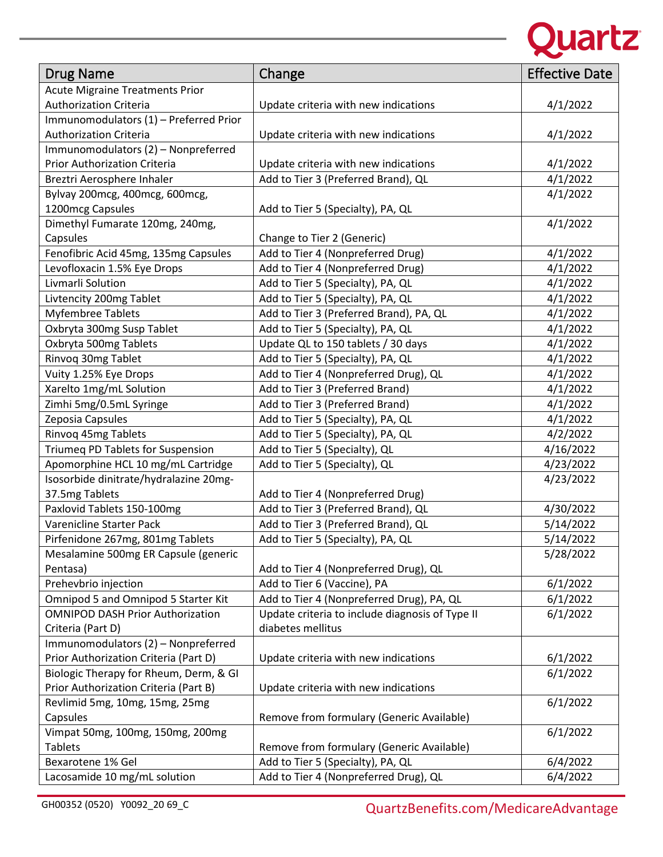

| <b>Drug Name</b>                        | Change                                          | <b>Effective Date</b> |
|-----------------------------------------|-------------------------------------------------|-----------------------|
| <b>Acute Migraine Treatments Prior</b>  |                                                 |                       |
| <b>Authorization Criteria</b>           | Update criteria with new indications            | 4/1/2022              |
| Immunomodulators (1) - Preferred Prior  |                                                 |                       |
| <b>Authorization Criteria</b>           | Update criteria with new indications            | 4/1/2022              |
| Immunomodulators (2) - Nonpreferred     |                                                 |                       |
| <b>Prior Authorization Criteria</b>     | Update criteria with new indications            | 4/1/2022              |
| Breztri Aerosphere Inhaler              | Add to Tier 3 (Preferred Brand), QL             | 4/1/2022              |
| Bylvay 200mcg, 400mcg, 600mcg,          |                                                 | 4/1/2022              |
| 1200mcg Capsules                        | Add to Tier 5 (Specialty), PA, QL               |                       |
| Dimethyl Fumarate 120mg, 240mg,         |                                                 | 4/1/2022              |
| Capsules                                | Change to Tier 2 (Generic)                      |                       |
| Fenofibric Acid 45mg, 135mg Capsules    | Add to Tier 4 (Nonpreferred Drug)               | 4/1/2022              |
| Levofloxacin 1.5% Eye Drops             | Add to Tier 4 (Nonpreferred Drug)               | 4/1/2022              |
| Livmarli Solution                       | Add to Tier 5 (Specialty), PA, QL               | 4/1/2022              |
| Livtencity 200mg Tablet                 | Add to Tier 5 (Specialty), PA, QL               | 4/1/2022              |
| <b>Myfembree Tablets</b>                | Add to Tier 3 (Preferred Brand), PA, QL         | 4/1/2022              |
| Oxbryta 300mg Susp Tablet               | Add to Tier 5 (Specialty), PA, QL               | 4/1/2022              |
| Oxbryta 500mg Tablets                   | Update QL to 150 tablets / 30 days              | 4/1/2022              |
| Rinvoq 30mg Tablet                      | Add to Tier 5 (Specialty), PA, QL               | 4/1/2022              |
| Vuity 1.25% Eye Drops                   | Add to Tier 4 (Nonpreferred Drug), QL           | 4/1/2022              |
|                                         | Add to Tier 3 (Preferred Brand)                 | 4/1/2022              |
| Xarelto 1mg/mL Solution                 |                                                 |                       |
| Zimhi 5mg/0.5mL Syringe                 | Add to Tier 3 (Preferred Brand)                 | 4/1/2022              |
| Zeposia Capsules                        | Add to Tier 5 (Specialty), PA, QL               | 4/1/2022              |
| Rinvoq 45mg Tablets                     | Add to Tier 5 (Specialty), PA, QL               | 4/2/2022              |
| Triumeq PD Tablets for Suspension       | Add to Tier 5 (Specialty), QL                   | 4/16/2022             |
| Apomorphine HCL 10 mg/mL Cartridge      | Add to Tier 5 (Specialty), QL                   | 4/23/2022             |
| Isosorbide dinitrate/hydralazine 20mg-  |                                                 | 4/23/2022             |
| 37.5mg Tablets                          | Add to Tier 4 (Nonpreferred Drug)               |                       |
| Paxlovid Tablets 150-100mg              | Add to Tier 3 (Preferred Brand), QL             | 4/30/2022             |
| Varenicline Starter Pack                | Add to Tier 3 (Preferred Brand), QL             | 5/14/2022             |
| Pirfenidone 267mg, 801mg Tablets        | Add to Tier 5 (Specialty), PA, QL               | 5/14/2022             |
| Mesalamine 500mg ER Capsule (generic    |                                                 | 5/28/2022             |
| Pentasa)                                | Add to Tier 4 (Nonpreferred Drug), QL           |                       |
| Prehevbrio injection                    | Add to Tier 6 (Vaccine), PA                     | 6/1/2022              |
| Omnipod 5 and Omnipod 5 Starter Kit     | Add to Tier 4 (Nonpreferred Drug), PA, QL       | 6/1/2022              |
| <b>OMNIPOD DASH Prior Authorization</b> | Update criteria to include diagnosis of Type II | 6/1/2022              |
| Criteria (Part D)                       | diabetes mellitus                               |                       |
| Immunomodulators (2) - Nonpreferred     |                                                 |                       |
| Prior Authorization Criteria (Part D)   | Update criteria with new indications            | 6/1/2022              |
| Biologic Therapy for Rheum, Derm, & GI  |                                                 | 6/1/2022              |
| Prior Authorization Criteria (Part B)   | Update criteria with new indications            |                       |
| Revlimid 5mg, 10mg, 15mg, 25mg          |                                                 | 6/1/2022              |
| Capsules                                | Remove from formulary (Generic Available)       |                       |
| Vimpat 50mg, 100mg, 150mg, 200mg        |                                                 | 6/1/2022              |
| <b>Tablets</b>                          | Remove from formulary (Generic Available)       |                       |
| Bexarotene 1% Gel                       | Add to Tier 5 (Specialty), PA, QL               | 6/4/2022              |
| Lacosamide 10 mg/mL solution            | Add to Tier 4 (Nonpreferred Drug), QL           | 6/4/2022              |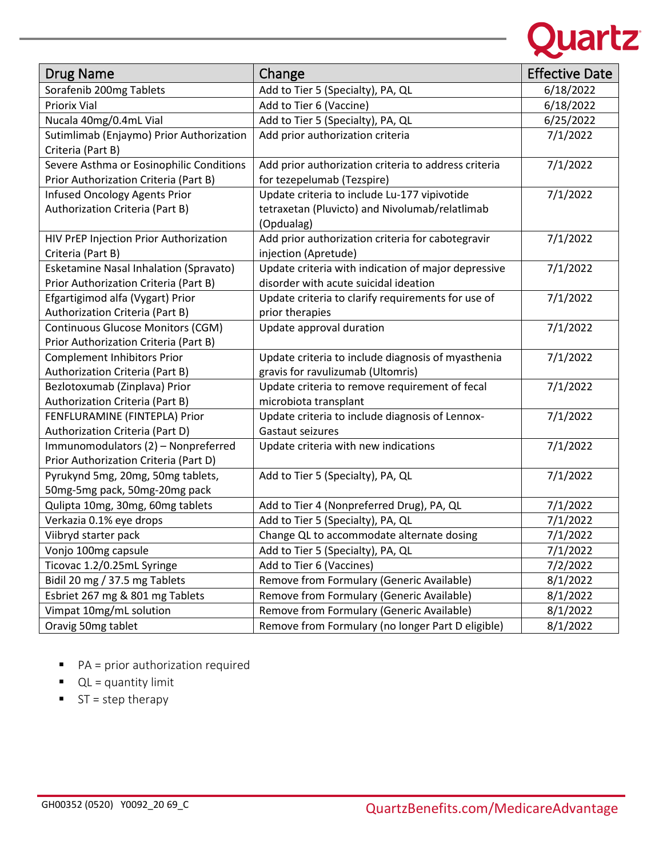

| <b>Drug Name</b>                                              | Change                                                       | <b>Effective Date</b> |
|---------------------------------------------------------------|--------------------------------------------------------------|-----------------------|
| Sorafenib 200mg Tablets                                       | Add to Tier 5 (Specialty), PA, QL                            | 6/18/2022             |
| <b>Priorix Vial</b>                                           | Add to Tier 6 (Vaccine)                                      | 6/18/2022             |
| Nucala 40mg/0.4mL Vial                                        | Add to Tier 5 (Specialty), PA, QL                            | 6/25/2022             |
| Sutimlimab (Enjaymo) Prior Authorization<br>Criteria (Part B) | Add prior authorization criteria                             | 7/1/2022              |
| Severe Asthma or Eosinophilic Conditions                      | Add prior authorization criteria to address criteria         | 7/1/2022              |
| Prior Authorization Criteria (Part B)                         | for tezepelumab (Tezspire)                                   |                       |
| <b>Infused Oncology Agents Prior</b>                          | Update criteria to include Lu-177 vipivotide                 | 7/1/2022              |
| Authorization Criteria (Part B)                               | tetraxetan (Pluvicto) and Nivolumab/relatlimab<br>(Opdualag) |                       |
| HIV PrEP Injection Prior Authorization                        | Add prior authorization criteria for cabotegravir            | 7/1/2022              |
| Criteria (Part B)                                             | injection (Apretude)                                         |                       |
| <b>Esketamine Nasal Inhalation (Spravato)</b>                 | Update criteria with indication of major depressive          | 7/1/2022              |
| Prior Authorization Criteria (Part B)                         | disorder with acute suicidal ideation                        |                       |
| Efgartigimod alfa (Vygart) Prior                              | Update criteria to clarify requirements for use of           | 7/1/2022              |
| Authorization Criteria (Part B)                               | prior therapies                                              |                       |
| Continuous Glucose Monitors (CGM)                             | Update approval duration                                     | 7/1/2022              |
| Prior Authorization Criteria (Part B)                         |                                                              |                       |
| <b>Complement Inhibitors Prior</b>                            | Update criteria to include diagnosis of myasthenia           | 7/1/2022              |
| Authorization Criteria (Part B)                               | gravis for ravulizumab (Ultomris)                            |                       |
| Bezlotoxumab (Zinplava) Prior                                 | Update criteria to remove requirement of fecal               | 7/1/2022              |
| Authorization Criteria (Part B)                               | microbiota transplant                                        |                       |
| FENFLURAMINE (FINTEPLA) Prior                                 | Update criteria to include diagnosis of Lennox-              | 7/1/2022              |
| Authorization Criteria (Part D)                               | Gastaut seizures                                             |                       |
| Immunomodulators (2) - Nonpreferred                           | Update criteria with new indications                         | 7/1/2022              |
| Prior Authorization Criteria (Part D)                         |                                                              |                       |
| Pyrukynd 5mg, 20mg, 50mg tablets,                             | Add to Tier 5 (Specialty), PA, QL                            | 7/1/2022              |
| 50mg-5mg pack, 50mg-20mg pack                                 |                                                              |                       |
| Qulipta 10mg, 30mg, 60mg tablets                              | Add to Tier 4 (Nonpreferred Drug), PA, QL                    | 7/1/2022              |
| Verkazia 0.1% eye drops                                       | Add to Tier 5 (Specialty), PA, QL                            | 7/1/2022              |
| Viibryd starter pack                                          | Change QL to accommodate alternate dosing                    | 7/1/2022              |
| Vonjo 100mg capsule                                           | Add to Tier 5 (Specialty), PA, QL                            | 7/1/2022              |
| Ticovac 1.2/0.25mL Syringe                                    | Add to Tier 6 (Vaccines)                                     | 7/2/2022              |
| Bidil 20 mg / 37.5 mg Tablets                                 | Remove from Formulary (Generic Available)                    | 8/1/2022              |
| Esbriet 267 mg & 801 mg Tablets                               | Remove from Formulary (Generic Available)                    | 8/1/2022              |
| Vimpat 10mg/mL solution                                       | Remove from Formulary (Generic Available)                    | 8/1/2022              |
| Oravig 50mg tablet                                            | Remove from Formulary (no longer Part D eligible)            | 8/1/2022              |

- PA = prior authorization required
- $\blacksquare$   $QL =$  quantity limit
- $ST = step$  therapy